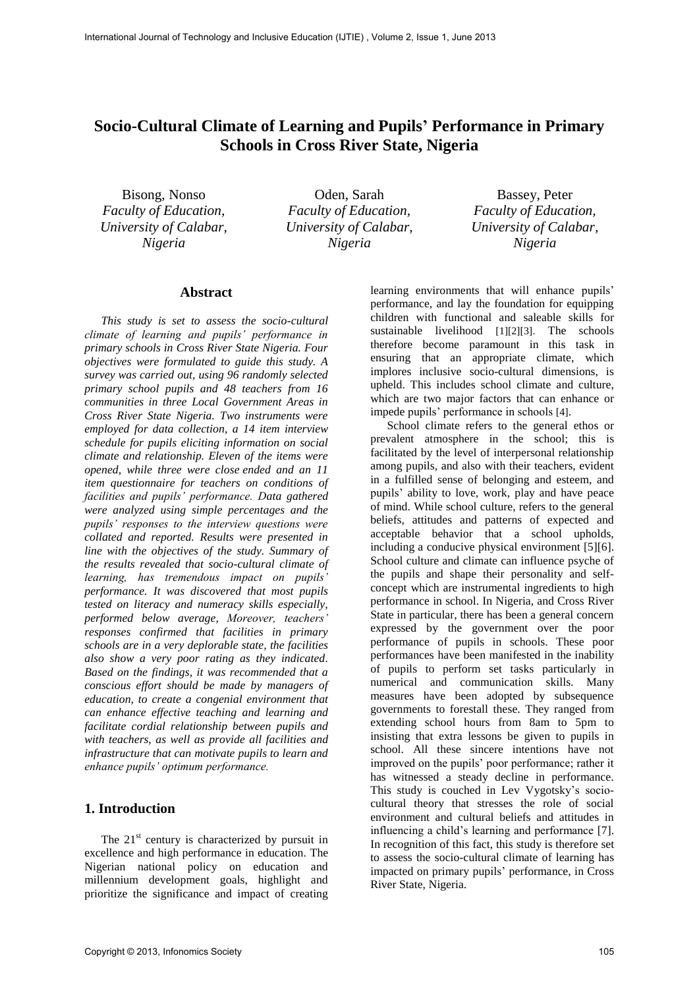# **Socio-Cultural Climate of Learning and Pupils' Performance in Primary Schools in Cross River State, Nigeria**

Bisong, Nonso *Faculty of Education, University of Calabar, Nigeria* 

Oden, Sarah *Faculty of Education, University of Calabar, Nigeria* 

Bassey, Peter *Faculty of Education, University of Calabar, Nigeria* 

#### **Abstract**

*This study is set to assess the socio-cultural climate of learning and pupils' performance in primary schools in Cross River State Nigeria. Four objectives were formulated to guide this study. A survey was carried out, using 96 randomly selected primary school pupils and 48 teachers from 16 communities in three Local Government Areas in Cross River State Nigeria. Two instruments were employed for data collection, a 14 item interview schedule for pupils eliciting information on social climate and relationship. Eleven of the items were opened, while three were close ended and an 11 item questionnaire for teachers on conditions of facilities and pupils' performance. Data gathered were analyzed using simple percentages and the pupils' responses to the interview questions were collated and reported. Results were presented in line with the objectives of the study. Summary of the results revealed that socio-cultural climate of learning, has tremendous impact on pupils' performance. It was discovered that most pupils tested on literacy and numeracy skills especially, performed below average, Moreover, teachers' responses confirmed that facilities in primary schools are in a very deplorable state, the facilities also show a very poor rating as they indicated. Based on the findings, it was recommended that a conscious effort should be made by managers of education, to create a congenial environment that can enhance effective teaching and learning and facilitate cordial relationship between pupils and with teachers, as well as provide all facilities and infrastructure that can motivate pupils to learn and enhance pupils' optimum performance.*

### **1. Introduction**

The  $21<sup>st</sup>$  century is characterized by pursuit in excellence and high performance in education. The Nigerian national policy on education and millennium development goals, highlight and prioritize the significance and impact of creating

learning environments that will enhance pupils' performance, and lay the foundation for equipping children with functional and saleable skills for sustainable livelihood [1][2][3]. The schools therefore become paramount in this task in ensuring that an appropriate climate, which implores inclusive socio-cultural dimensions, is upheld. This includes school climate and culture, which are two major factors that can enhance or impede pupils' performance in schools [4].

School climate refers to the general ethos or prevalent atmosphere in the school; this is facilitated by the level of interpersonal relationship among pupils, and also with their teachers, evident in a fulfilled sense of belonging and esteem, and pupils' ability to love, work, play and have peace of mind. While school culture, refers to the general beliefs, attitudes and patterns of expected and acceptable behavior that a school upholds, including a conducive physical environment [5][6]. School culture and climate can influence psyche of the pupils and shape their personality and selfconcept which are instrumental ingredients to high performance in school. In Nigeria, and Cross River State in particular, there has been a general concern expressed by the government over the poor performance of pupils in schools. These poor performances have been manifested in the inability of pupils to perform set tasks particularly in numerical and communication skills. Many measures have been adopted by subsequence governments to forestall these. They ranged from extending school hours from 8am to 5pm to insisting that extra lessons be given to pupils in school. All these sincere intentions have not improved on the pupils' poor performance; rather it has witnessed a steady decline in performance. This study is couched in Lev Vygotsky's sociocultural theory that stresses the role of social environment and cultural beliefs and attitudes in influencing a child's learning and performance [7]. In recognition of this fact, this study is therefore set to assess the socio-cultural climate of learning has impacted on primary pupils' performance, in Cross River State, Nigeria.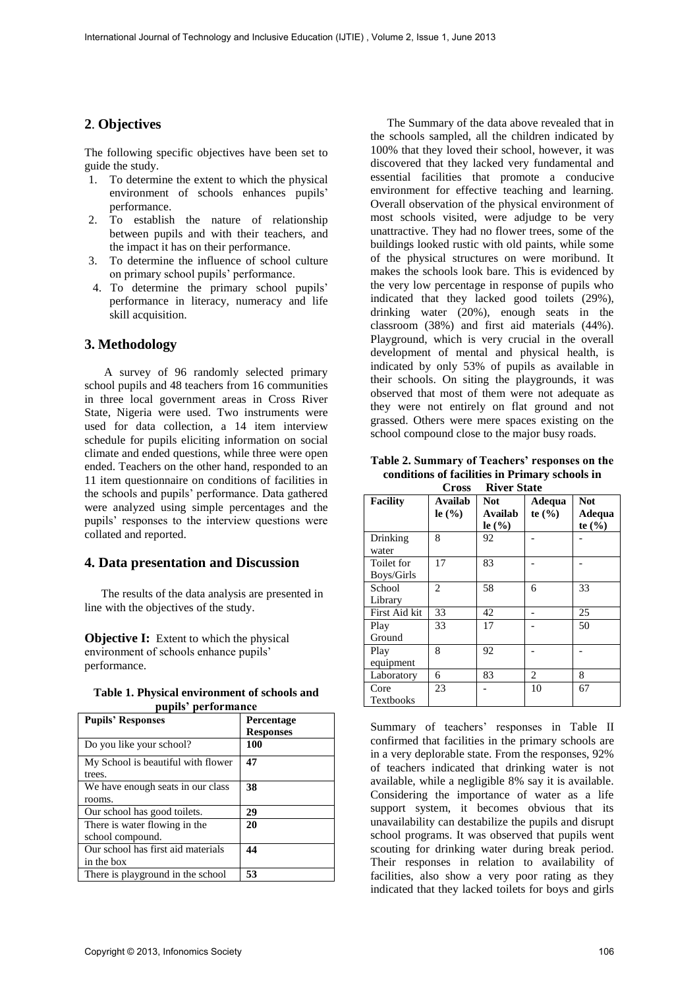## **2**. **Objectives**

The following specific objectives have been set to guide the study.

- 1. To determine the extent to which the physical environment of schools enhances pupils' performance.
- 2. To establish the nature of relationship between pupils and with their teachers, and the impact it has on their performance.
- 3. To determine the influence of school culture on primary school pupils' performance.
- 4. To determine the primary school pupils' performance in literacy, numeracy and life skill acquisition.

#### **3. Methodology**

 A survey of 96 randomly selected primary school pupils and 48 teachers from 16 communities in three local government areas in Cross River State, Nigeria were used. Two instruments were used for data collection, a 14 item interview schedule for pupils eliciting information on social climate and ended questions, while three were open ended. Teachers on the other hand, responded to an 11 item questionnaire on conditions of facilities in the schools and pupils' performance. Data gathered were analyzed using simple percentages and the pupils' responses to the interview questions were collated and reported.

#### **4. Data presentation and Discussion**

The results of the data analysis are presented in line with the objectives of the study.

**Objective I:** Extent to which the physical environment of schools enhance pupils' performance.

|                     |  | Table 1. Physical environment of schools and |  |
|---------------------|--|----------------------------------------------|--|
| pupils' performance |  |                                              |  |

| <b>Pupils' Responses</b>           | Percentage       |
|------------------------------------|------------------|
|                                    | <b>Responses</b> |
| Do you like your school?           | 100              |
| My School is beautiful with flower | 47               |
| trees.                             |                  |
| We have enough seats in our class  | 38               |
| rooms.                             |                  |
| Our school has good toilets.       | 29               |
| There is water flowing in the      | 20               |
| school compound.                   |                  |
| Our school has first aid materials | 44               |
| in the box                         |                  |
| There is playground in the school  | 53               |

The Summary of the data above revealed that in the schools sampled, all the children indicated by 100% that they loved their school, however, it was discovered that they lacked very fundamental and essential facilities that promote a conducive environment for effective teaching and learning. Overall observation of the physical environment of most schools visited, were adjudge to be very unattractive. They had no flower trees, some of the buildings looked rustic with old paints, while some of the physical structures on were moribund. It makes the schools look bare. This is evidenced by the very low percentage in response of pupils who indicated that they lacked good toilets (29%), drinking water (20%), enough seats in the classroom (38%) and first aid materials (44%). Playground, which is very crucial in the overall development of mental and physical health, is indicated by only 53% of pupils as available in their schools. On siting the playgrounds, it was observed that most of them were not adequate as they were not entirely on flat ground and not grassed. Others were mere spaces existing on the school compound close to the major busy roads.

**Table 2. Summary of Teachers' responses on the conditions of facilities in Primary schools in Cross River State** 

| UT 055<br>ліусі этате    |                                          |                                                        |                      |                                    |  |
|--------------------------|------------------------------------------|--------------------------------------------------------|----------------------|------------------------------------|--|
| <b>Facility</b>          | Availab<br>le $\left(\frac{9}{6}\right)$ | <b>Not</b><br>Availab<br>le $\left(\frac{9}{6}\right)$ | Adequa<br>te $(\% )$ | <b>Not</b><br>Adequa<br>te $(\% )$ |  |
| Drinking<br>water        | 8                                        | 92                                                     |                      |                                    |  |
| Toilet for<br>Boys/Girls | 17                                       | 83                                                     |                      |                                    |  |
| School<br>Library        | $\overline{c}$                           | 58                                                     | 6                    | 33                                 |  |
| First Aid kit            | 33                                       | 42                                                     |                      | 25                                 |  |
| Play<br>Ground           | 33                                       | 17                                                     |                      | 50                                 |  |
| Play<br>equipment        | 8                                        | 92                                                     |                      |                                    |  |
| Laboratory               | 6                                        | 83                                                     | 2                    | 8                                  |  |
| Core<br>Textbooks        | 23                                       |                                                        | 10                   | 67                                 |  |

Summary of teachers' responses in Table II confirmed that facilities in the primary schools are in a very deplorable state. From the responses, 92% of teachers indicated that drinking water is not available, while a negligible 8% say it is available. Considering the importance of water as a life support system, it becomes obvious that its unavailability can destabilize the pupils and disrupt school programs. It was observed that pupils went scouting for drinking water during break period. Their responses in relation to availability of facilities, also show a very poor rating as they indicated that they lacked toilets for boys and girls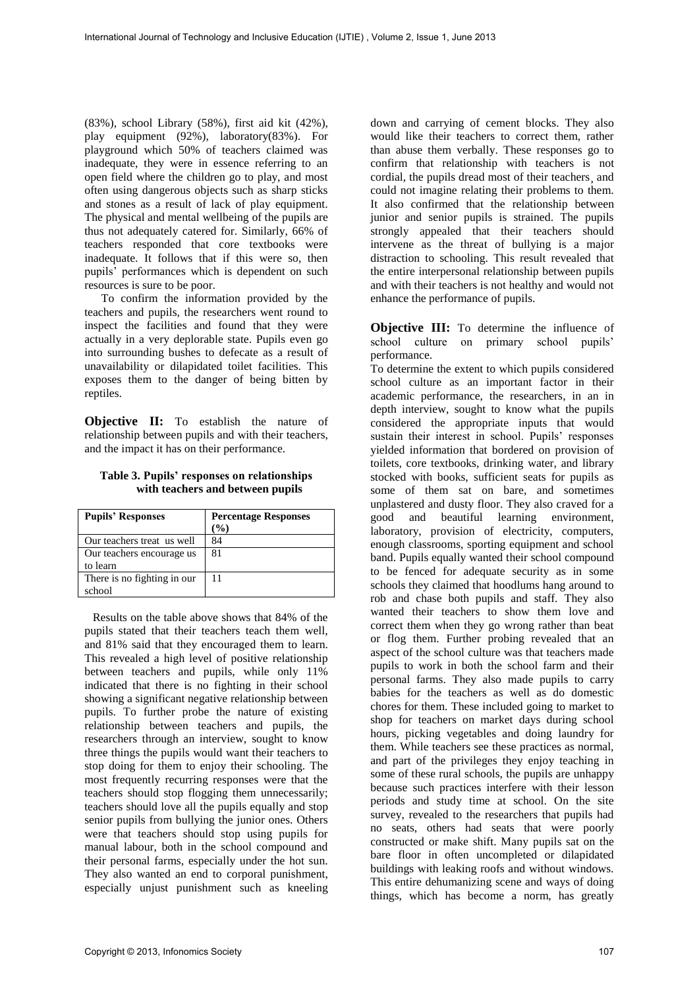(83%), school Library (58%), first aid kit (42%), play equipment (92%), laboratory(83%). For playground which 50% of teachers claimed was inadequate, they were in essence referring to an open field where the children go to play, and most often using dangerous objects such as sharp sticks and stones as a result of lack of play equipment. The physical and mental wellbeing of the pupils are thus not adequately catered for. Similarly, 66% of teachers responded that core textbooks were inadequate. It follows that if this were so, then pupils' performances which is dependent on such resources is sure to be poor.

To confirm the information provided by the teachers and pupils, the researchers went round to inspect the facilities and found that they were actually in a very deplorable state. Pupils even go into surrounding bushes to defecate as a result of unavailability or dilapidated toilet facilities. This exposes them to the danger of being bitten by reptiles.

**Objective II:** To establish the nature of relationship between pupils and with their teachers, and the impact it has on their performance.

**Table 3. Pupils' responses on relationships with teachers and between pupils** 

| <b>Pupils' Responses</b>    | <b>Percentage Responses</b> |
|-----------------------------|-----------------------------|
|                             | (%)                         |
| Our teachers treat us well  | 84                          |
| Our teachers encourage us   | 81                          |
| to learn                    |                             |
| There is no fighting in our | 11                          |
| school                      |                             |

Results on the table above shows that 84% of the pupils stated that their teachers teach them well, and 81% said that they encouraged them to learn. This revealed a high level of positive relationship between teachers and pupils, while only 11% indicated that there is no fighting in their school showing a significant negative relationship between pupils. To further probe the nature of existing relationship between teachers and pupils, the researchers through an interview, sought to know three things the pupils would want their teachers to stop doing for them to enjoy their schooling. The most frequently recurring responses were that the teachers should stop flogging them unnecessarily; teachers should love all the pupils equally and stop senior pupils from bullying the junior ones. Others were that teachers should stop using pupils for manual labour, both in the school compound and their personal farms, especially under the hot sun. They also wanted an end to corporal punishment, especially unjust punishment such as kneeling

down and carrying of cement blocks. They also would like their teachers to correct them, rather than abuse them verbally. These responses go to confirm that relationship with teachers is not cordial, the pupils dread most of their teachers¸ and could not imagine relating their problems to them. It also confirmed that the relationship between junior and senior pupils is strained. The pupils strongly appealed that their teachers should intervene as the threat of bullying is a major distraction to schooling. This result revealed that the entire interpersonal relationship between pupils and with their teachers is not healthy and would not enhance the performance of pupils.

**Objective III:** To determine the influence of school culture on primary school pupils' performance.

To determine the extent to which pupils considered school culture as an important factor in their academic performance, the researchers, in an in depth interview, sought to know what the pupils considered the appropriate inputs that would sustain their interest in school. Pupils' responses yielded information that bordered on provision of toilets, core textbooks, drinking water, and library stocked with books, sufficient seats for pupils as some of them sat on bare, and sometimes unplastered and dusty floor. They also craved for a good and beautiful learning environment, laboratory, provision of electricity, computers, enough classrooms, sporting equipment and school band. Pupils equally wanted their school compound to be fenced for adequate security as in some schools they claimed that hoodlums hang around to rob and chase both pupils and staff. They also wanted their teachers to show them love and correct them when they go wrong rather than beat or flog them. Further probing revealed that an aspect of the school culture was that teachers made pupils to work in both the school farm and their personal farms. They also made pupils to carry babies for the teachers as well as do domestic chores for them. These included going to market to shop for teachers on market days during school hours, picking vegetables and doing laundry for them. While teachers see these practices as normal, and part of the privileges they enjoy teaching in some of these rural schools, the pupils are unhappy because such practices interfere with their lesson periods and study time at school. On the site survey, revealed to the researchers that pupils had no seats, others had seats that were poorly constructed or make shift. Many pupils sat on the bare floor in often uncompleted or dilapidated buildings with leaking roofs and without windows. This entire dehumanizing scene and ways of doing things, which has become a norm, has greatly